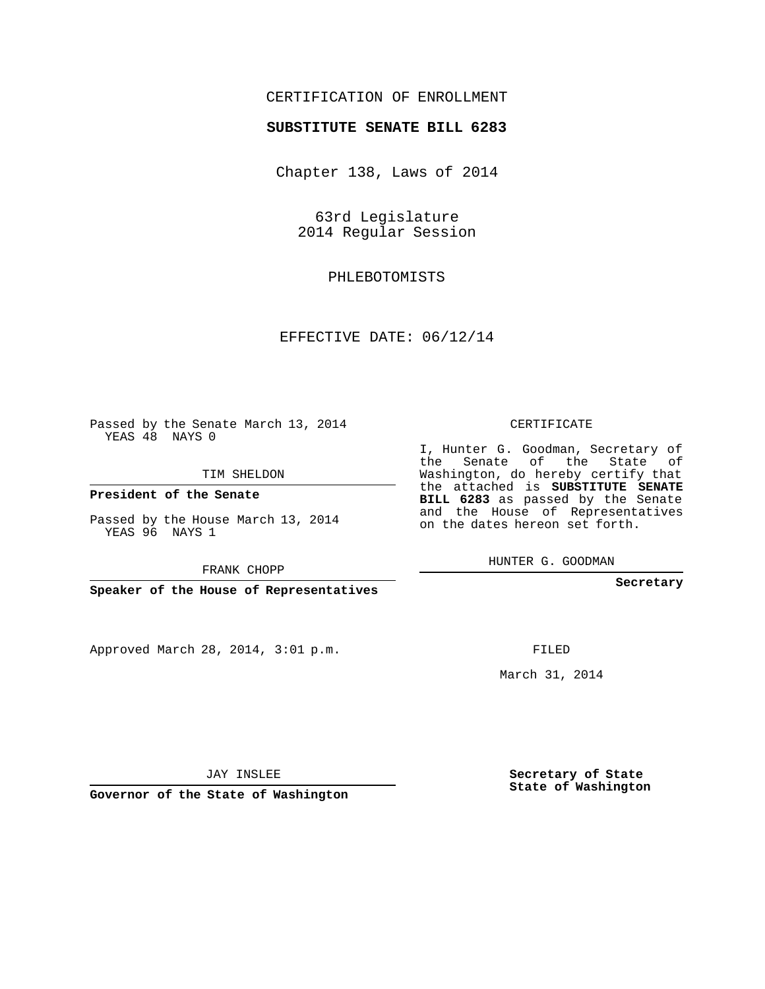## CERTIFICATION OF ENROLLMENT

## **SUBSTITUTE SENATE BILL 6283**

Chapter 138, Laws of 2014

63rd Legislature 2014 Regular Session

PHLEBOTOMISTS

EFFECTIVE DATE: 06/12/14

**Contract Contract** 

Passed by the Senate March 13, 2014 YEAS 48 NAYS 0

TIM SHELDON

**President of the Senate**

Passed by the House March 13, 2014 YEAS 96 NAYS 1

FRANK CHOPP

**Speaker of the House of Representatives**

Approved March 28, 2014, 3:01 p.m.

CERTIFICATE

I, Hunter G. Goodman, Secretary of the Senate of the State of Washington, do hereby certify that the attached is **SUBSTITUTE SENATE BILL 6283** as passed by the Senate and the House of Representatives on the dates hereon set forth.

HUNTER G. GOODMAN

**Secretary**

FILED

March 31, 2014

**Secretary of State State of Washington**

JAY INSLEE

**Governor of the State of Washington**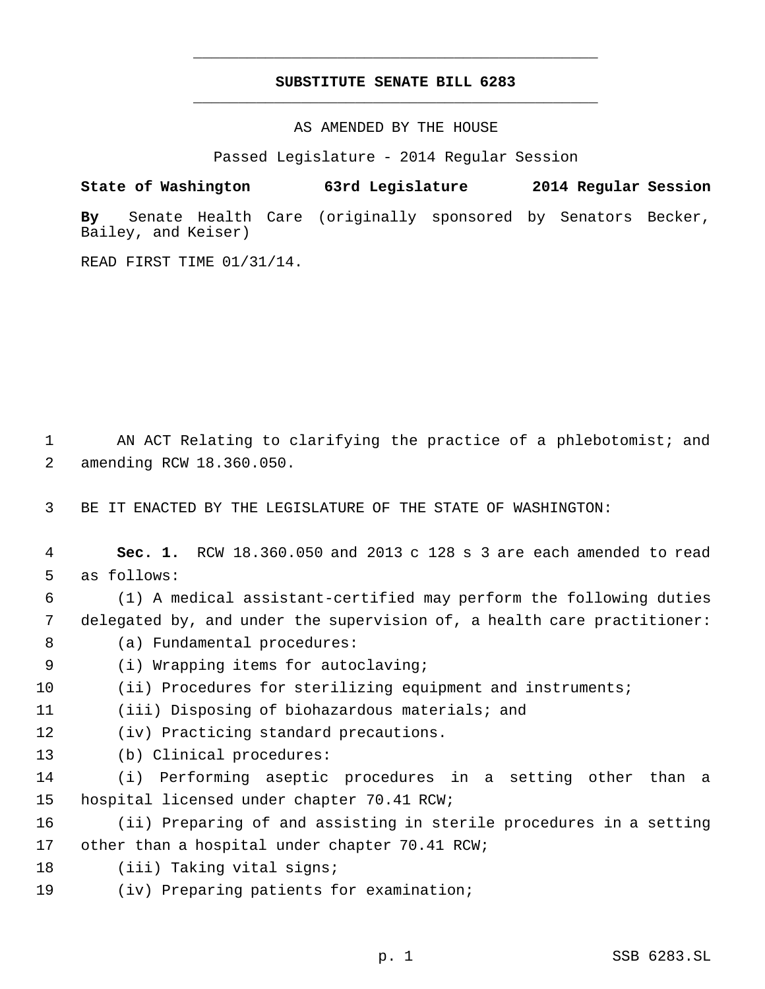## **SUBSTITUTE SENATE BILL 6283** \_\_\_\_\_\_\_\_\_\_\_\_\_\_\_\_\_\_\_\_\_\_\_\_\_\_\_\_\_\_\_\_\_\_\_\_\_\_\_\_\_\_\_\_\_

\_\_\_\_\_\_\_\_\_\_\_\_\_\_\_\_\_\_\_\_\_\_\_\_\_\_\_\_\_\_\_\_\_\_\_\_\_\_\_\_\_\_\_\_\_

AS AMENDED BY THE HOUSE

Passed Legislature - 2014 Regular Session

**State of Washington 63rd Legislature 2014 Regular Session**

**By** Senate Health Care (originally sponsored by Senators Becker, Bailey, and Keiser)

READ FIRST TIME 01/31/14.

 AN ACT Relating to clarifying the practice of a phlebotomist; and amending RCW 18.360.050.

BE IT ENACTED BY THE LEGISLATURE OF THE STATE OF WASHINGTON:

- **Sec. 1.** RCW 18.360.050 and 2013 c 128 s 3 are each amended to read as follows:
- (1) A medical assistant-certified may perform the following duties delegated by, and under the supervision of, a health care practitioner:
- 8 (a) Fundamental procedures:
- (i) Wrapping items for autoclaving;
- (ii) Procedures for sterilizing equipment and instruments;
- (iii) Disposing of biohazardous materials; and
- (iv) Practicing standard precautions.
- (b) Clinical procedures:
- (i) Performing aseptic procedures in a setting other than a hospital licensed under chapter 70.41 RCW;
- (ii) Preparing of and assisting in sterile procedures in a setting other than a hospital under chapter 70.41 RCW;
- (iii) Taking vital signs;
- (iv) Preparing patients for examination;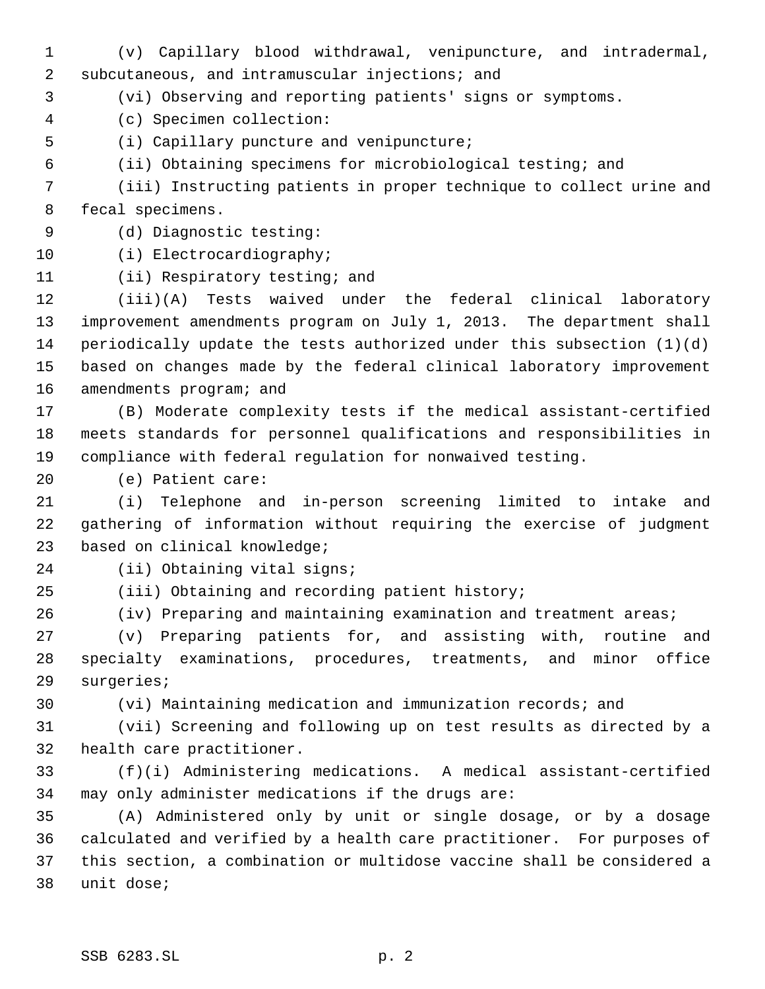(v) Capillary blood withdrawal, venipuncture, and intradermal, subcutaneous, and intramuscular injections; and

- (vi) Observing and reporting patients' signs or symptoms.
- (c) Specimen collection:
- (i) Capillary puncture and venipuncture;
- (ii) Obtaining specimens for microbiological testing; and

 (iii) Instructing patients in proper technique to collect urine and fecal specimens.

- (d) Diagnostic testing:
- 

(i) Electrocardiography;

(ii) Respiratory testing; and

 (iii)(A) Tests waived under the federal clinical laboratory improvement amendments program on July 1, 2013. The department shall periodically update the tests authorized under this subsection (1)(d) based on changes made by the federal clinical laboratory improvement amendments program; and

 (B) Moderate complexity tests if the medical assistant-certified meets standards for personnel qualifications and responsibilities in compliance with federal regulation for nonwaived testing.

(e) Patient care:

 (i) Telephone and in-person screening limited to intake and gathering of information without requiring the exercise of judgment based on clinical knowledge;

- (ii) Obtaining vital signs;
- (iii) Obtaining and recording patient history;

(iv) Preparing and maintaining examination and treatment areas;

 (v) Preparing patients for, and assisting with, routine and specialty examinations, procedures, treatments, and minor office surgeries;

(vi) Maintaining medication and immunization records; and

 (vii) Screening and following up on test results as directed by a health care practitioner.

 (f)(i) Administering medications. A medical assistant-certified may only administer medications if the drugs are:

 (A) Administered only by unit or single dosage, or by a dosage calculated and verified by a health care practitioner. For purposes of this section, a combination or multidose vaccine shall be considered a unit dose;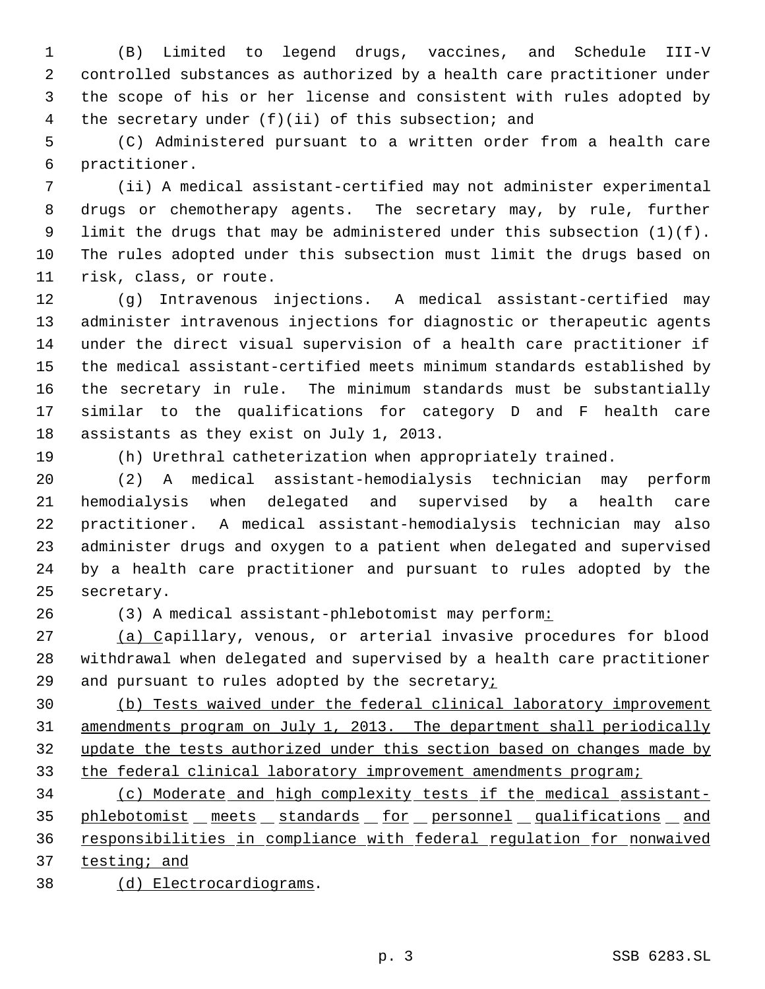(B) Limited to legend drugs, vaccines, and Schedule III-V controlled substances as authorized by a health care practitioner under the scope of his or her license and consistent with rules adopted by the secretary under (f)(ii) of this subsection; and

 (C) Administered pursuant to a written order from a health care practitioner.

 (ii) A medical assistant-certified may not administer experimental drugs or chemotherapy agents. The secretary may, by rule, further limit the drugs that may be administered under this subsection (1)(f). The rules adopted under this subsection must limit the drugs based on risk, class, or route.

 (g) Intravenous injections. A medical assistant-certified may administer intravenous injections for diagnostic or therapeutic agents under the direct visual supervision of a health care practitioner if the medical assistant-certified meets minimum standards established by the secretary in rule. The minimum standards must be substantially similar to the qualifications for category D and F health care assistants as they exist on July 1, 2013.

(h) Urethral catheterization when appropriately trained.

 (2) A medical assistant-hemodialysis technician may perform hemodialysis when delegated and supervised by a health care practitioner. A medical assistant-hemodialysis technician may also administer drugs and oxygen to a patient when delegated and supervised by a health care practitioner and pursuant to rules adopted by the secretary.

(3) A medical assistant-phlebotomist may perform:

 (a) Capillary, venous, or arterial invasive procedures for blood withdrawal when delegated and supervised by a health care practitioner and pursuant to rules adopted by the secretary;

 (b) Tests waived under the federal clinical laboratory improvement amendments program on July 1, 2013. The department shall periodically update the tests authorized under this section based on changes made by 33 the federal clinical laboratory improvement amendments program;

 (c) Moderate and high complexity tests if the medical assistant-35 phlebotomist meets standards for personnel qualifications and responsibilities in compliance with federal regulation for nonwaived 37 testing; and

(d) Electrocardiograms.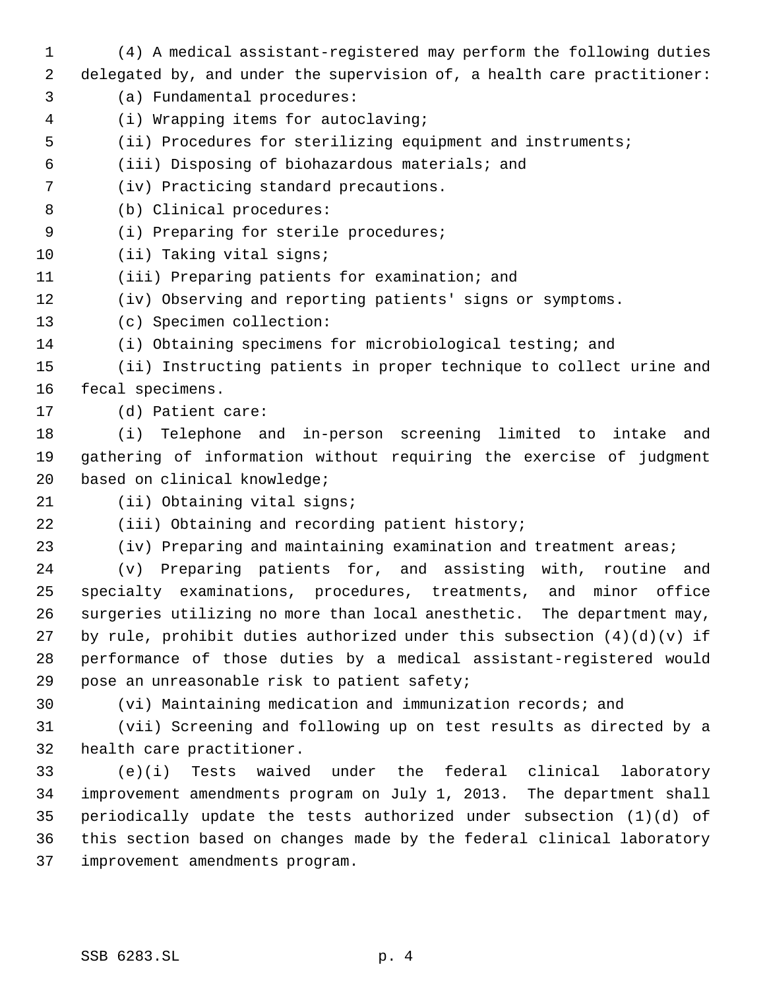(4) A medical assistant-registered may perform the following duties delegated by, and under the supervision of, a health care practitioner: (a) Fundamental procedures: (i) Wrapping items for autoclaving; (ii) Procedures for sterilizing equipment and instruments; (iii) Disposing of biohazardous materials; and (iv) Practicing standard precautions. (b) Clinical procedures: (i) Preparing for sterile procedures; (ii) Taking vital signs; (iii) Preparing patients for examination; and (iv) Observing and reporting patients' signs or symptoms. (c) Specimen collection: (i) Obtaining specimens for microbiological testing; and (ii) Instructing patients in proper technique to collect urine and fecal specimens. (d) Patient care: (i) Telephone and in-person screening limited to intake and gathering of information without requiring the exercise of judgment based on clinical knowledge; 21 (ii) Obtaining vital signs; (iii) Obtaining and recording patient history; (iv) Preparing and maintaining examination and treatment areas; (v) Preparing patients for, and assisting with, routine and specialty examinations, procedures, treatments, and minor office surgeries utilizing no more than local anesthetic. The department may, 27 by rule, prohibit duties authorized under this subsection  $(4)(d)(v)$  if performance of those duties by a medical assistant-registered would pose an unreasonable risk to patient safety; (vi) Maintaining medication and immunization records; and (vii) Screening and following up on test results as directed by a health care practitioner. (e)(i) Tests waived under the federal clinical laboratory improvement amendments program on July 1, 2013. The department shall periodically update the tests authorized under subsection (1)(d) of this section based on changes made by the federal clinical laboratory improvement amendments program.